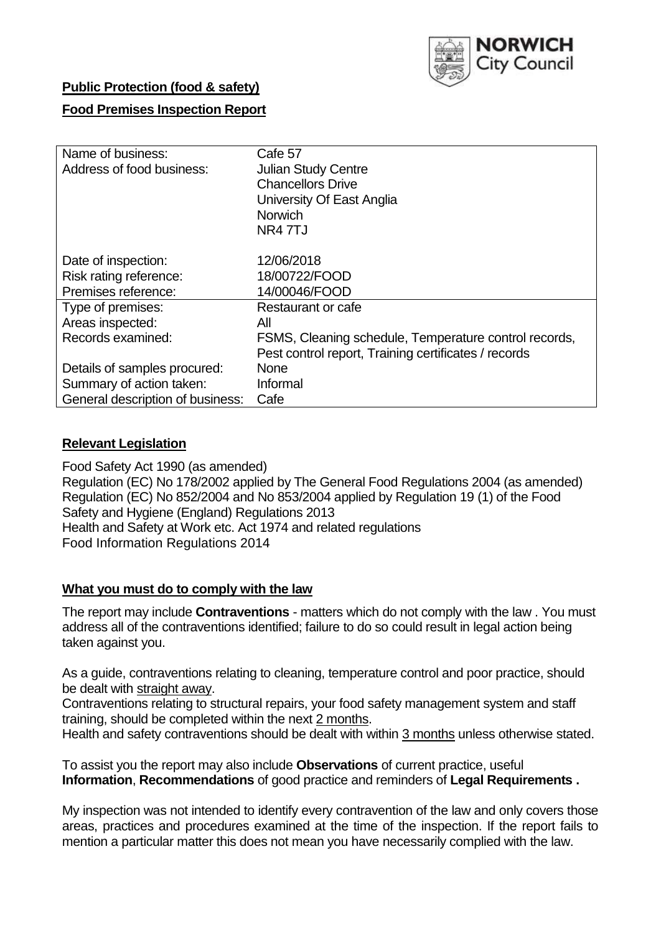

### **Public Protection (food & safety)**

### **Food Premises Inspection Report**

| Name of business:<br>Address of food business:                                               | Cafe 57<br><b>Julian Study Centre</b><br><b>Chancellors Drive</b><br>University Of East Anglia<br><b>Norwich</b><br>NR4 7TJ |
|----------------------------------------------------------------------------------------------|-----------------------------------------------------------------------------------------------------------------------------|
| Date of inspection:                                                                          | 12/06/2018                                                                                                                  |
| Risk rating reference:                                                                       | 18/00722/FOOD                                                                                                               |
| Premises reference:                                                                          | 14/00046/FOOD                                                                                                               |
| Type of premises:                                                                            | Restaurant or cafe                                                                                                          |
| Areas inspected:                                                                             | All                                                                                                                         |
| Records examined:                                                                            | FSMS, Cleaning schedule, Temperature control records,                                                                       |
| Details of samples procured:<br>Summary of action taken:<br>General description of business: | Pest control report, Training certificates / records<br><b>None</b><br>Informal<br>Cafe                                     |

#### **Relevant Legislation**

Food Safety Act 1990 (as amended) Regulation (EC) No 178/2002 applied by The General Food Regulations 2004 (as amended) Regulation (EC) No 852/2004 and No 853/2004 applied by Regulation 19 (1) of the Food Safety and Hygiene (England) Regulations 2013 Health and Safety at Work etc. Act 1974 and related regulations Food Information Regulations 2014

#### **What you must do to comply with the law**

The report may include **Contraventions** - matters which do not comply with the law . You must address all of the contraventions identified; failure to do so could result in legal action being taken against you.

As a guide, contraventions relating to cleaning, temperature control and poor practice, should be dealt with straight away.

Contraventions relating to structural repairs, your food safety management system and staff training, should be completed within the next 2 months.

Health and safety contraventions should be dealt with within 3 months unless otherwise stated.

To assist you the report may also include **Observations** of current practice, useful **Information**, **Recommendations** of good practice and reminders of **Legal Requirements .**

My inspection was not intended to identify every contravention of the law and only covers those areas, practices and procedures examined at the time of the inspection. If the report fails to mention a particular matter this does not mean you have necessarily complied with the law.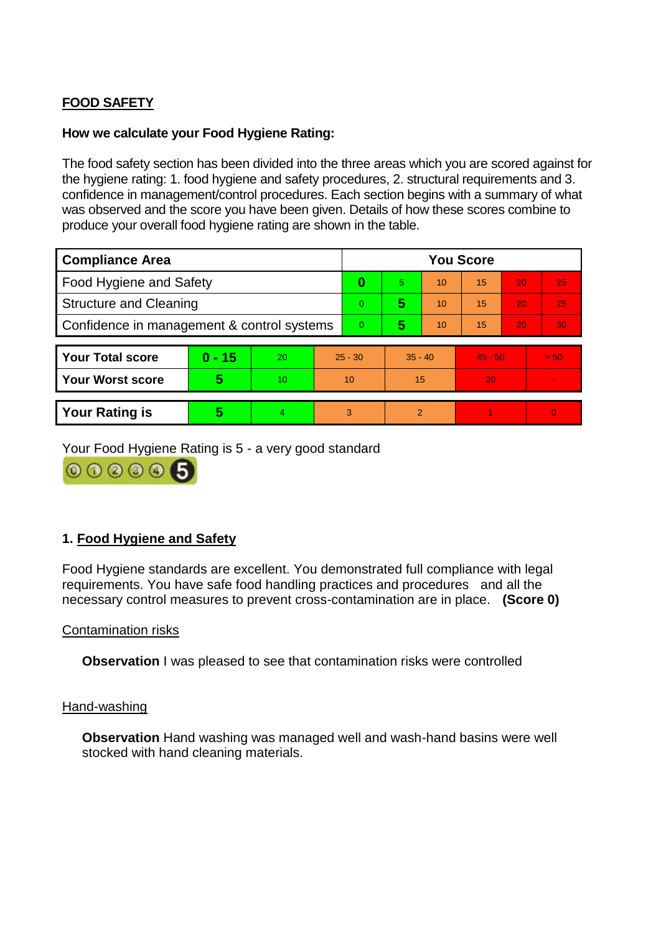# **FOOD SAFETY**

### **How we calculate your Food Hygiene Rating:**

The food safety section has been divided into the three areas which you are scored against for the hygiene rating: 1. food hygiene and safety procedures, 2. structural requirements and 3. confidence in management/control procedures. Each section begins with a summary of what was observed and the score you have been given. Details of how these scores combine to produce your overall food hygiene rating are shown in the table.

| <b>Compliance Area</b>                     |          |    |                | <b>You Score</b> |               |    |           |    |          |  |  |
|--------------------------------------------|----------|----|----------------|------------------|---------------|----|-----------|----|----------|--|--|
| Food Hygiene and Safety                    |          |    |                | 0                | 5             | 10 | 15        | 20 | 25       |  |  |
| <b>Structure and Cleaning</b>              |          |    | $\Omega$       | 5                | 10            | 15 | 20        | 25 |          |  |  |
| Confidence in management & control systems |          |    | $\overline{0}$ | 5                | 10            | 15 | 20        | 30 |          |  |  |
|                                            |          |    |                |                  |               |    |           |    |          |  |  |
| <b>Your Total score</b>                    | $0 - 15$ | 20 | $25 - 30$      |                  | $35 - 40$     |    | $45 - 50$ |    | > 50     |  |  |
| <b>Your Worst score</b>                    | 5        | 10 | 10             |                  | 15            |    | 20        |    |          |  |  |
|                                            |          |    |                |                  |               |    |           |    |          |  |  |
| <b>Your Rating is</b>                      | 5        |    | 3              |                  | $\mathcal{P}$ |    |           |    | $\Omega$ |  |  |

Your Food Hygiene Rating is 5 - a very good standard

000006

# **1. Food Hygiene and Safety**

Food Hygiene standards are excellent. You demonstrated full compliance with legal requirements. You have safe food handling practices and procedures and all the necessary control measures to prevent cross-contamination are in place. **(Score 0)**

### Contamination risks

**Observation** I was pleased to see that contamination risks were controlled

### Hand-washing

**Observation** Hand washing was managed well and wash-hand basins were well stocked with hand cleaning materials.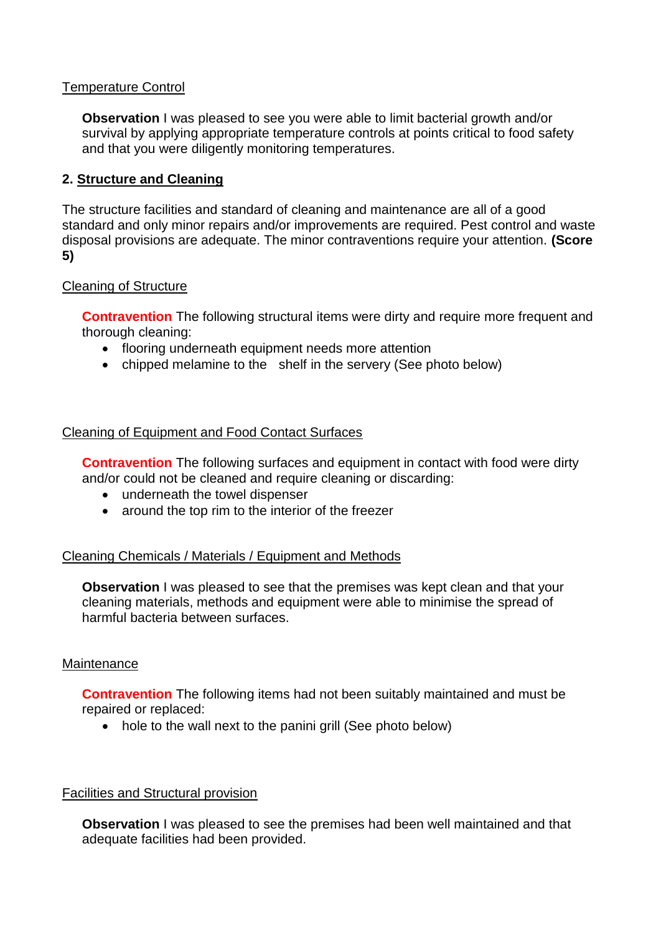### Temperature Control

**Observation** I was pleased to see you were able to limit bacterial growth and/or survival by applying appropriate temperature controls at points critical to food safety and that you were diligently monitoring temperatures.

## **2. Structure and Cleaning**

The structure facilities and standard of cleaning and maintenance are all of a good standard and only minor repairs and/or improvements are required. Pest control and waste disposal provisions are adequate. The minor contraventions require your attention. **(Score 5)**

### Cleaning of Structure

**Contravention** The following structural items were dirty and require more frequent and thorough cleaning:

- flooring underneath equipment needs more attention
- chipped melamine to the shelf in the servery (See photo below)

### Cleaning of Equipment and Food Contact Surfaces

**Contravention** The following surfaces and equipment in contact with food were dirty and/or could not be cleaned and require cleaning or discarding:

- underneath the towel dispenser
- around the top rim to the interior of the freezer

### Cleaning Chemicals / Materials / Equipment and Methods

**Observation** I was pleased to see that the premises was kept clean and that your cleaning materials, methods and equipment were able to minimise the spread of harmful bacteria between surfaces.

### **Maintenance**

**Contravention** The following items had not been suitably maintained and must be repaired or replaced:

• hole to the wall next to the panini grill (See photo below)

### Facilities and Structural provision

**Observation** I was pleased to see the premises had been well maintained and that adequate facilities had been provided.